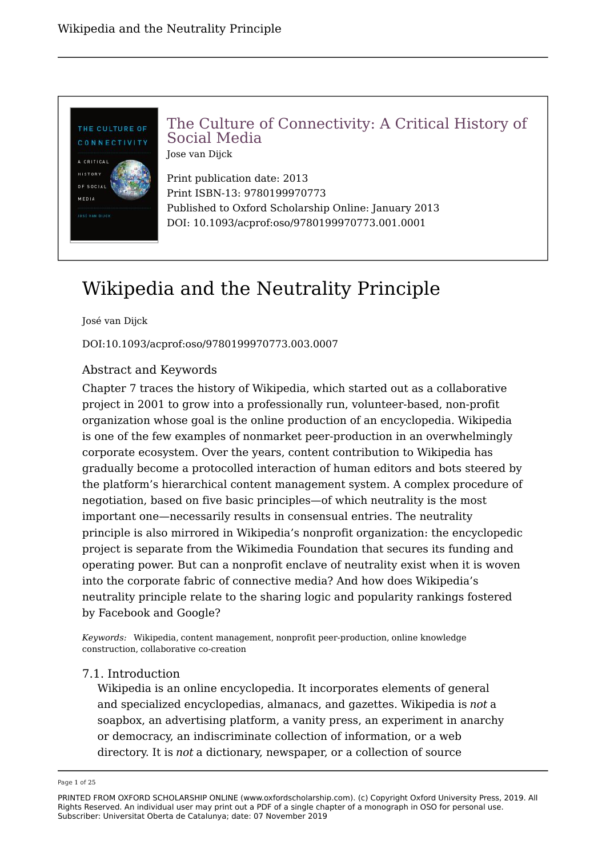

# The Culture of Connectivity: A Critical History of Social Media Jose van Dijck

Print publication date: 2013 Print ISBN-13: 9780199970773 Published to Oxford Scholarship Online: January 2013 DOI: 10.1093/acprof:oso/9780199970773.001.0001

# Wikipedia and the Neutrality Principle

José van Dijck

DOI:10.1093/acprof:oso/9780199970773.003.0007

## Abstract and Keywords

Chapter 7 traces the history of Wikipedia, which started out as a collaborative project in 2001 to grow into a professionally run, volunteer-based, non-profit organization whose goal is the online production of an encyclopedia. Wikipedia is one of the few examples of nonmarket peer-production in an overwhelmingly corporate ecosystem. Over the years, content contribution to Wikipedia has gradually become a protocolled interaction of human editors and bots steered by the platform's hierarchical content management system. A complex procedure of negotiation, based on five basic principles—of which neutrality is the most important one—necessarily results in consensual entries. The neutrality principle is also mirrored in Wikipedia's nonprofit organization: the encyclopedic project is separate from the Wikimedia Foundation that secures its funding and operating power. But can a nonprofit enclave of neutrality exist when it is woven into the corporate fabric of connective media? And how does Wikipedia's neutrality principle relate to the sharing logic and popularity rankings fostered by Facebook and Google?

*Keywords:* Wikipedia, content management, nonprofit peer-production, online knowledge construction, collaborative co-creation

#### 7.1. Introduction

Wikipedia is an online encyclopedia. It incorporates elements of general and specialized encyclopedias, almanacs, and gazettes. Wikipedia is *not* a soapbox, an advertising platform, a vanity press, an experiment in anarchy or democracy, an indiscriminate collection of information, or a web directory. It is *not* a dictionary, newspaper, or a collection of source

Page 1 of 25

PRINTED FROM OXFORD SCHOLARSHIP ONLINE (www.oxfordscholarship.com). (c) Copyright Oxford University Press, 2019. All Rights Reserved. An individual user may print out a PDF of a single chapter of a monograph in OSO for personal use. Subscriber: Universitat Oberta de Catalunya; date: 07 November 2019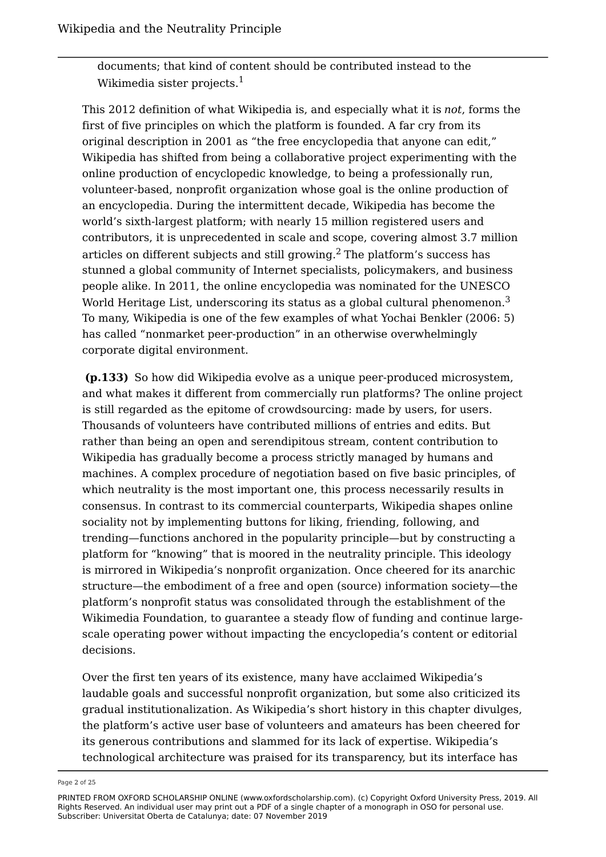documents; that kind of content should be contributed instead to the Wikimedia sister projects. $<sup>1</sup>$ </sup>

This 2012 definition of what Wikipedia is, and especially what it is *not*, forms the first of five principles on which the platform is founded. A far cry from its original description in 2001 as "the free encyclopedia that anyone can edit," Wikipedia has shifted from being a collaborative project experimenting with the online production of encyclopedic knowledge, to being a professionally run, volunteer-based, nonprofit organization whose goal is the online production of an encyclopedia. During the intermittent decade, Wikipedia has become the world's sixth-largest platform; with nearly 15 million registered users and contributors, it is unprecedented in scale and scope, covering almost 3.7 million articles on different subjects and still growing.<sup>2</sup> The platform's success has stunned a global community of Internet specialists, policymakers, and business people alike. In 2011, the online encyclopedia was nominated for the UNESCO World Heritage List, underscoring its status as a global cultural phenomenon.<sup>3</sup> To many, Wikipedia is one of the few examples of what Yochai Benkler (2006: 5) has called "nonmarket peer-production" in an otherwise overwhelmingly corporate digital environment.

 **(p.133)** So how did Wikipedia evolve as a unique peer-produced microsystem, and what makes it different from commercially run platforms? The online project is still regarded as the epitome of crowdsourcing: made by users, for users. Thousands of volunteers have contributed millions of entries and edits. But rather than being an open and serendipitous stream, content contribution to Wikipedia has gradually become a process strictly managed by humans and machines. A complex procedure of negotiation based on five basic principles, of which neutrality is the most important one, this process necessarily results in consensus. In contrast to its commercial counterparts, Wikipedia shapes online sociality not by implementing buttons for liking, friending, following, and trending—functions anchored in the popularity principle—but by constructing a platform for "knowing" that is moored in the neutrality principle. This ideology is mirrored in Wikipedia's nonprofit organization. Once cheered for its anarchic structure—the embodiment of a free and open (source) information society—the platform's nonprofit status was consolidated through the establishment of the Wikimedia Foundation, to guarantee a steady flow of funding and continue largescale operating power without impacting the encyclopedia's content or editorial decisions.

Over the first ten years of its existence, many have acclaimed Wikipedia's laudable goals and successful nonprofit organization, but some also criticized its gradual institutionalization. As Wikipedia's short history in this chapter divulges, the platform's active user base of volunteers and amateurs has been cheered for its generous contributions and slammed for its lack of expertise. Wikipedia's technological architecture was praised for its transparency, but its interface has

Page 2 of 25

PRINTED FROM OXFORD SCHOLARSHIP ONLINE (www.oxfordscholarship.com). (c) Copyright Oxford University Press, 2019. All Rights Reserved. An individual user may print out a PDF of a single chapter of a monograph in OSO for personal use. Subscriber: Universitat Oberta de Catalunya; date: 07 November 2019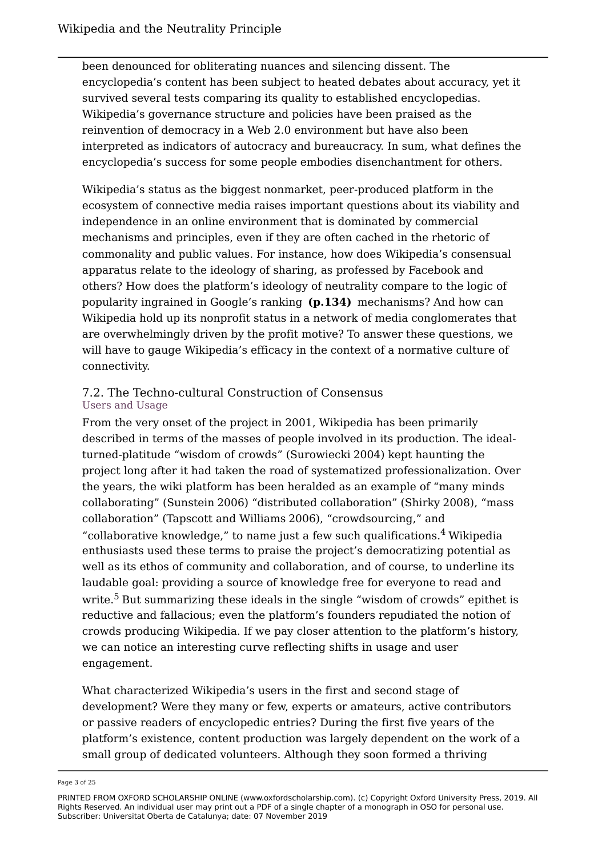been denounced for obliterating nuances and silencing dissent. The encyclopedia's content has been subject to heated debates about accuracy, yet it survived several tests comparing its quality to established encyclopedias. Wikipedia's governance structure and policies have been praised as the reinvention of democracy in a Web 2.0 environment but have also been interpreted as indicators of autocracy and bureaucracy. In sum, what defines the encyclopedia's success for some people embodies disenchantment for others.

Wikipedia's status as the biggest nonmarket, peer-produced platform in the ecosystem of connective media raises important questions about its viability and independence in an online environment that is dominated by commercial mechanisms and principles, even if they are often cached in the rhetoric of commonality and public values. For instance, how does Wikipedia's consensual apparatus relate to the ideology of sharing, as professed by Facebook and others? How does the platform's ideology of neutrality compare to the logic of popularity ingrained in Google's ranking **(p.134)** mechanisms? And how can Wikipedia hold up its nonprofit status in a network of media conglomerates that are overwhelmingly driven by the profit motive? To answer these questions, we will have to gauge Wikipedia's efficacy in the context of a normative culture of connectivity.

## 7.2. The Techno-cultural Construction of Consensus Users and Usage

From the very onset of the project in 2001, Wikipedia has been primarily described in terms of the masses of people involved in its production. The idealturned-platitude "wisdom of crowds" (Surowiecki 2004) kept haunting the project long after it had taken the road of systematized professionalization. Over the years, the wiki platform has been heralded as an example of "many minds collaborating" (Sunstein 2006) "distributed collaboration" (Shirky 2008), "mass collaboration" (Tapscott and Williams 2006), "crowdsourcing," and "collaborative knowledge," to name just a few such qualifications. $4$  Wikipedia enthusiasts used these terms to praise the project's democratizing potential as well as its ethos of community and collaboration, and of course, to underline its laudable goal: providing a source of knowledge free for everyone to read and write.<sup>5</sup> But summarizing these ideals in the single "wisdom of crowds" epithet is reductive and fallacious; even the platform's founders repudiated the notion of crowds producing Wikipedia. If we pay closer attention to the platform's history, we can notice an interesting curve reflecting shifts in usage and user engagement.

What characterized Wikipedia's users in the first and second stage of development? Were they many or few, experts or amateurs, active contributors or passive readers of encyclopedic entries? During the first five years of the platform's existence, content production was largely dependent on the work of a small group of dedicated volunteers. Although they soon formed a thriving

Page 3 of 25

PRINTED FROM OXFORD SCHOLARSHIP ONLINE (www.oxfordscholarship.com). (c) Copyright Oxford University Press, 2019. All Rights Reserved. An individual user may print out a PDF of a single chapter of a monograph in OSO for personal use. Subscriber: Universitat Oberta de Catalunya; date: 07 November 2019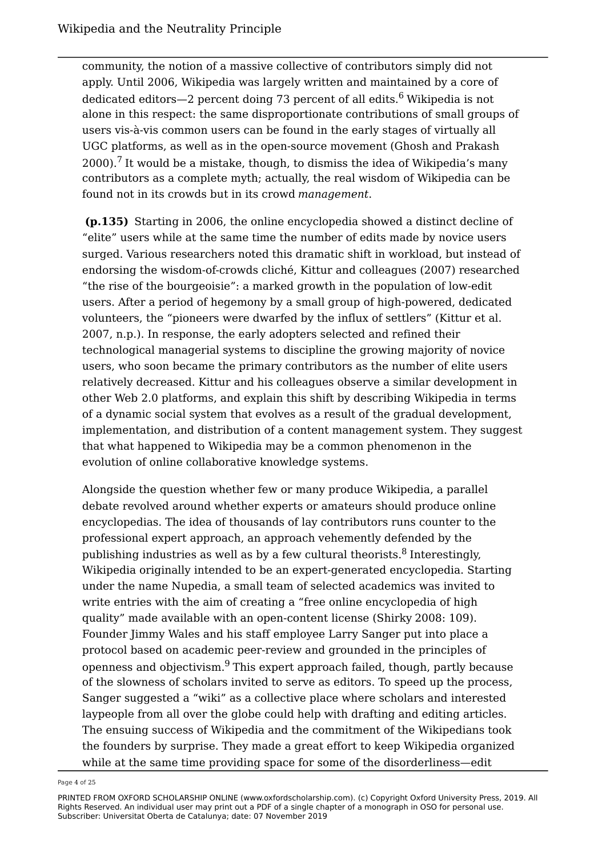community, the notion of a massive collective of contributors simply did not apply. Until 2006, Wikipedia was largely written and maintained by a core of dedicated editors—2 percent doing 73 percent of all edits.<sup>6</sup> Wikipedia is not alone in this respect: the same disproportionate contributions of small groups of users vis-à-vis common users can be found in the early stages of virtually all UGC platforms, as well as in the open-source movement (Ghosh and Prakash 2000). $^7$  It would be a mistake, though, to dismiss the idea of Wikipedia's many contributors as a complete myth; actually, the real wisdom of Wikipedia can be found not in its crowds but in its crowd *management*.

 **(p.135)** Starting in 2006, the online encyclopedia showed a distinct decline of "elite" users while at the same time the number of edits made by novice users surged. Various researchers noted this dramatic shift in workload, but instead of endorsing the wisdom-of-crowds cliché, Kittur and colleagues (2007) researched "the rise of the bourgeoisie": a marked growth in the population of low-edit users. After a period of hegemony by a small group of high-powered, dedicated volunteers, the "pioneers were dwarfed by the influx of settlers" (Kittur et al. 2007, n.p.). In response, the early adopters selected and refined their technological managerial systems to discipline the growing majority of novice users, who soon became the primary contributors as the number of elite users relatively decreased. Kittur and his colleagues observe a similar development in other Web 2.0 platforms, and explain this shift by describing Wikipedia in terms of a dynamic social system that evolves as a result of the gradual development, implementation, and distribution of a content management system. They suggest that what happened to Wikipedia may be a common phenomenon in the evolution of online collaborative knowledge systems.

Alongside the question whether few or many produce Wikipedia, a parallel debate revolved around whether experts or amateurs should produce online encyclopedias. The idea of thousands of lay contributors runs counter to the professional expert approach, an approach vehemently defended by the publishing industries as well as by a few cultural theorists.<sup>8</sup> Interestingly, Wikipedia originally intended to be an expert-generated encyclopedia. Starting under the name Nupedia, a small team of selected academics was invited to write entries with the aim of creating a "free online encyclopedia of high quality" made available with an open-content license (Shirky 2008: 109). Founder Jimmy Wales and his staff employee Larry Sanger put into place a protocol based on academic peer-review and grounded in the principles of openness and objectivism.<sup>9</sup> This expert approach failed, though, partly because of the slowness of scholars invited to serve as editors. To speed up the process, Sanger suggested a "wiki" as a collective place where scholars and interested laypeople from all over the globe could help with drafting and editing articles. The ensuing success of Wikipedia and the commitment of the Wikipedians took the founders by surprise. They made a great effort to keep Wikipedia organized while at the same time providing space for some of the disorderliness—edit

Page 4 of 25

PRINTED FROM OXFORD SCHOLARSHIP ONLINE (www.oxfordscholarship.com). (c) Copyright Oxford University Press, 2019. All Rights Reserved. An individual user may print out a PDF of a single chapter of a monograph in OSO for personal use. Subscriber: Universitat Oberta de Catalunya; date: 07 November 2019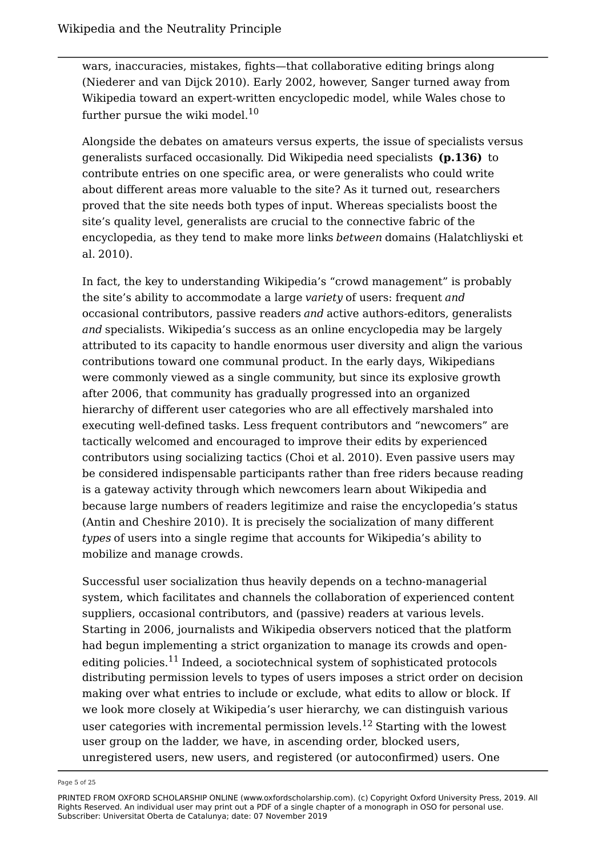wars, inaccuracies, mistakes, fights—that collaborative editing brings along (Niederer and van Dijck 2010). Early 2002, however, Sanger turned away from Wikipedia toward an expert-written encyclopedic model, while Wales chose to further pursue the wiki model. $10$ 

Alongside the debates on amateurs versus experts, the issue of specialists versus generalists surfaced occasionally. Did Wikipedia need specialists **(p.136)** to contribute entries on one specific area, or were generalists who could write about different areas more valuable to the site? As it turned out, researchers proved that the site needs both types of input. Whereas specialists boost the site's quality level, generalists are crucial to the connective fabric of the encyclopedia, as they tend to make more links *between* domains (Halatchliyski et al. 2010).

In fact, the key to understanding Wikipedia's "crowd management" is probably the site's ability to accommodate a large *variety* of users: frequent *and* occasional contributors, passive readers *and* active authors-editors, generalists *and* specialists. Wikipedia's success as an online encyclopedia may be largely attributed to its capacity to handle enormous user diversity and align the various contributions toward one communal product. In the early days, Wikipedians were commonly viewed as a single community, but since its explosive growth after 2006, that community has gradually progressed into an organized hierarchy of different user categories who are all effectively marshaled into executing well-defined tasks. Less frequent contributors and "newcomers" are tactically welcomed and encouraged to improve their edits by experienced contributors using socializing tactics (Choi et al. 2010). Even passive users may be considered indispensable participants rather than free riders because reading is a gateway activity through which newcomers learn about Wikipedia and because large numbers of readers legitimize and raise the encyclopedia's status (Antin and Cheshire 2010). It is precisely the socialization of many different *types* of users into a single regime that accounts for Wikipedia's ability to mobilize and manage crowds.

Successful user socialization thus heavily depends on a techno-managerial system, which facilitates and channels the collaboration of experienced content suppliers, occasional contributors, and (passive) readers at various levels. Starting in 2006, journalists and Wikipedia observers noticed that the platform had begun implementing a strict organization to manage its crowds and openediting policies.<sup>11</sup> Indeed, a sociotechnical system of sophisticated protocols distributing permission levels to types of users imposes a strict order on decision making over what entries to include or exclude, what edits to allow or block. If we look more closely at Wikipedia's user hierarchy, we can distinguish various user categories with incremental permission levels.<sup>12</sup> Starting with the lowest user group on the ladder, we have, in ascending order, blocked users, unregistered users, new users, and registered (or autoconfirmed) users. One

Page 5 of 25

PRINTED FROM OXFORD SCHOLARSHIP ONLINE (www.oxfordscholarship.com). (c) Copyright Oxford University Press, 2019. All Rights Reserved. An individual user may print out a PDF of a single chapter of a monograph in OSO for personal use. Subscriber: Universitat Oberta de Catalunya; date: 07 November 2019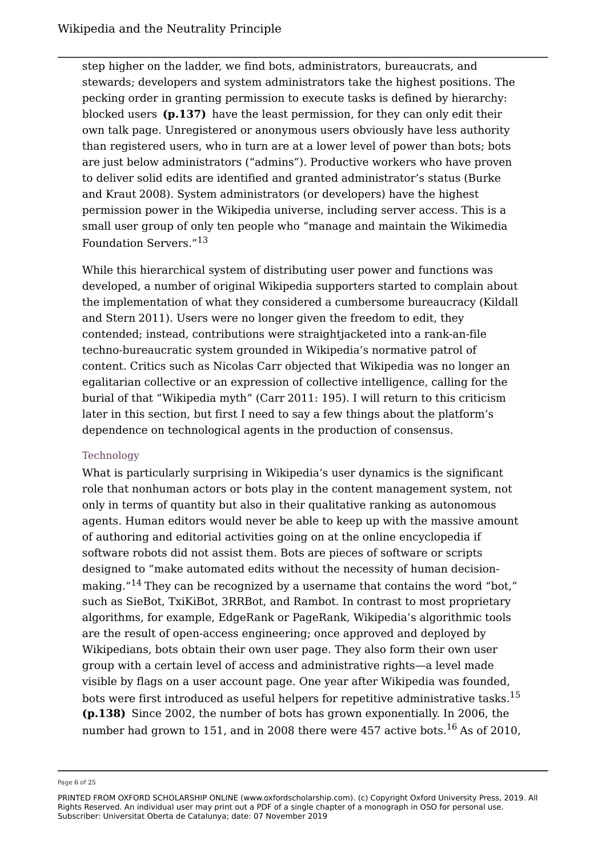step higher on the ladder, we find bots, administrators, bureaucrats, and stewards; developers and system administrators take the highest positions. The pecking order in granting permission to execute tasks is defined by hierarchy: blocked users **(p.137)** have the least permission, for they can only edit their own talk page. Unregistered or anonymous users obviously have less authority than registered users, who in turn are at a lower level of power than bots; bots are just below administrators ("admins"). Productive workers who have proven to deliver solid edits are identified and granted administrator's status (Burke and Kraut 2008). System administrators (or developers) have the highest permission power in the Wikipedia universe, including server access. This is a small user group of only ten people who "manage and maintain the Wikimedia Foundation Servers."<sup>13</sup>

While this hierarchical system of distributing user power and functions was developed, a number of original Wikipedia supporters started to complain about the implementation of what they considered a cumbersome bureaucracy (Kildall and Stern 2011). Users were no longer given the freedom to edit, they contended; instead, contributions were straightjacketed into a rank-an-file techno-bureaucratic system grounded in Wikipedia's normative patrol of content. Critics such as Nicolas Carr objected that Wikipedia was no longer an egalitarian collective or an expression of collective intelligence, calling for the burial of that "Wikipedia myth" (Carr 2011: 195). I will return to this criticism later in this section, but first I need to say a few things about the platform's dependence on technological agents in the production of consensus.

#### Technology

What is particularly surprising in Wikipedia's user dynamics is the significant role that nonhuman actors or bots play in the content management system, not only in terms of quantity but also in their qualitative ranking as autonomous agents. Human editors would never be able to keep up with the massive amount of authoring and editorial activities going on at the online encyclopedia if software robots did not assist them. Bots are pieces of software or scripts designed to "make automated edits without the necessity of human decisionmaking."<sup>14</sup> They can be recognized by a username that contains the word "bot." such as SieBot, TxiKiBot, 3RRBot, and Rambot. In contrast to most proprietary algorithms, for example, EdgeRank or PageRank, Wikipedia's algorithmic tools are the result of open-access engineering; once approved and deployed by Wikipedians, bots obtain their own user page. They also form their own user group with a certain level of access and administrative rights—a level made visible by flags on a user account page. One year after Wikipedia was founded, bots were first introduced as useful helpers for repetitive administrative tasks.<sup>15</sup> **(p.138)** Since 2002, the number of bots has grown exponentially. In 2006, the number had grown to 151, and in 2008 there were  $457$  active bots.<sup>16</sup> As of 2010,

Page 6 of 25

PRINTED FROM OXFORD SCHOLARSHIP ONLINE (www.oxfordscholarship.com). (c) Copyright Oxford University Press, 2019. All Rights Reserved. An individual user may print out a PDF of a single chapter of a monograph in OSO for personal use. Subscriber: Universitat Oberta de Catalunya; date: 07 November 2019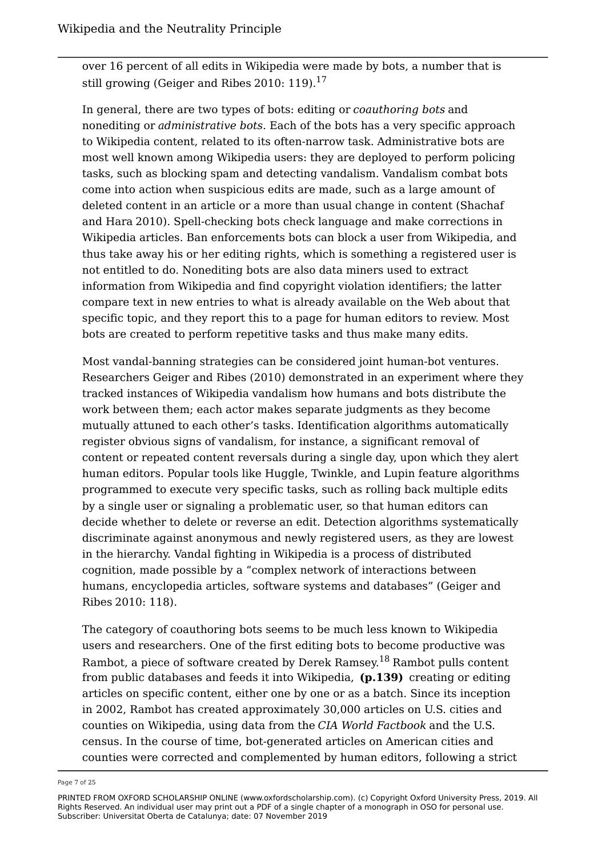over 16 percent of all edits in Wikipedia were made by bots, a number that is still growing (Geiger and Ribes 2010: 119).<sup>17</sup>

In general, there are two types of bots: editing or *coauthoring bots* and nonediting or *administrative bots*. Each of the bots has a very specific approach to Wikipedia content, related to its often-narrow task. Administrative bots are most well known among Wikipedia users: they are deployed to perform policing tasks, such as blocking spam and detecting vandalism. Vandalism combat bots come into action when suspicious edits are made, such as a large amount of deleted content in an article or a more than usual change in content (Shachaf and Hara 2010). Spell-checking bots check language and make corrections in Wikipedia articles. Ban enforcements bots can block a user from Wikipedia, and thus take away his or her editing rights, which is something a registered user is not entitled to do. Nonediting bots are also data miners used to extract information from Wikipedia and find copyright violation identifiers; the latter compare text in new entries to what is already available on the Web about that specific topic, and they report this to a page for human editors to review. Most bots are created to perform repetitive tasks and thus make many edits.

Most vandal-banning strategies can be considered joint human-bot ventures. Researchers Geiger and Ribes (2010) demonstrated in an experiment where they tracked instances of Wikipedia vandalism how humans and bots distribute the work between them; each actor makes separate judgments as they become mutually attuned to each other's tasks. Identification algorithms automatically register obvious signs of vandalism, for instance, a significant removal of content or repeated content reversals during a single day, upon which they alert human editors. Popular tools like Huggle, Twinkle, and Lupin feature algorithms programmed to execute very specific tasks, such as rolling back multiple edits by a single user or signaling a problematic user, so that human editors can decide whether to delete or reverse an edit. Detection algorithms systematically discriminate against anonymous and newly registered users, as they are lowest in the hierarchy. Vandal fighting in Wikipedia is a process of distributed cognition, made possible by a "complex network of interactions between humans, encyclopedia articles, software systems and databases" (Geiger and Ribes 2010: 118).

The category of coauthoring bots seems to be much less known to Wikipedia users and researchers. One of the first editing bots to become productive was Rambot, a piece of software created by Derek Ramsey.<sup>18</sup> Rambot pulls content from public databases and feeds it into Wikipedia, **(p.139)** creating or editing articles on specific content, either one by one or as a batch. Since its inception in 2002, Rambot has created approximately 30,000 articles on U.S. cities and counties on Wikipedia, using data from the *CIA World Factbook* and the U.S. census. In the course of time, bot-generated articles on American cities and counties were corrected and complemented by human editors, following a strict

Page 7 of 25

PRINTED FROM OXFORD SCHOLARSHIP ONLINE (www.oxfordscholarship.com). (c) Copyright Oxford University Press, 2019. All Rights Reserved. An individual user may print out a PDF of a single chapter of a monograph in OSO for personal use. Subscriber: Universitat Oberta de Catalunya; date: 07 November 2019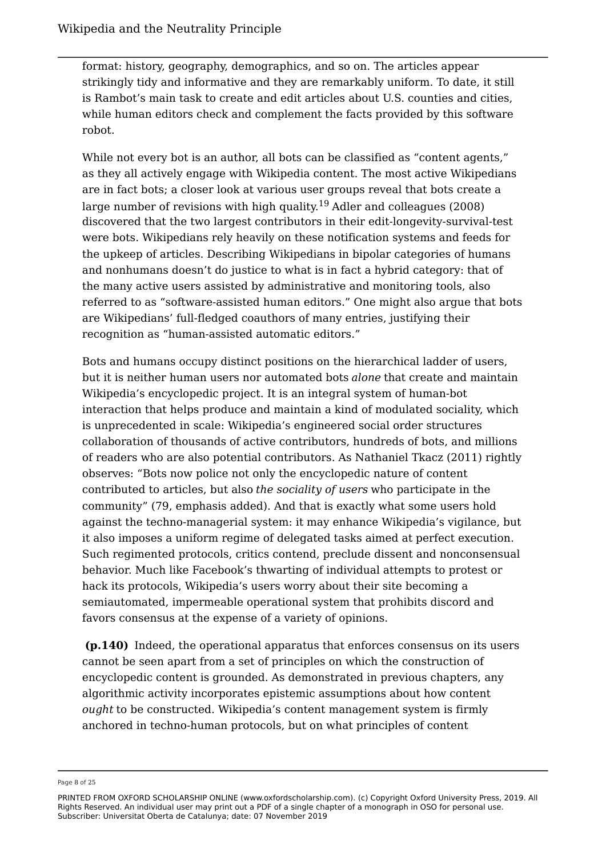format: history, geography, demographics, and so on. The articles appear strikingly tidy and informative and they are remarkably uniform. To date, it still is Rambot's main task to create and edit articles about U.S. counties and cities, while human editors check and complement the facts provided by this software robot.

While not every bot is an author, all bots can be classified as "content agents," as they all actively engage with Wikipedia content. The most active Wikipedians are in fact bots; a closer look at various user groups reveal that bots create a large number of revisions with high quality.<sup>19</sup> Adler and colleagues (2008) discovered that the two largest contributors in their edit-longevity-survival-test were bots. Wikipedians rely heavily on these notification systems and feeds for the upkeep of articles. Describing Wikipedians in bipolar categories of humans and nonhumans doesn't do justice to what is in fact a hybrid category: that of the many active users assisted by administrative and monitoring tools, also referred to as "software-assisted human editors." One might also argue that bots are Wikipedians' full-fledged coauthors of many entries, justifying their recognition as "human-assisted automatic editors."

Bots and humans occupy distinct positions on the hierarchical ladder of users, but it is neither human users nor automated bots *alone* that create and maintain Wikipedia's encyclopedic project. It is an integral system of human-bot interaction that helps produce and maintain a kind of modulated sociality, which is unprecedented in scale: Wikipedia's engineered social order structures collaboration of thousands of active contributors, hundreds of bots, and millions of readers who are also potential contributors. As Nathaniel Tkacz (2011) rightly observes: "Bots now police not only the encyclopedic nature of content contributed to articles, but also *the sociality of users* who participate in the community" (79, emphasis added). And that is exactly what some users hold against the techno-managerial system: it may enhance Wikipedia's vigilance, but it also imposes a uniform regime of delegated tasks aimed at perfect execution. Such regimented protocols, critics contend, preclude dissent and nonconsensual behavior. Much like Facebook's thwarting of individual attempts to protest or hack its protocols, Wikipedia's users worry about their site becoming a semiautomated, impermeable operational system that prohibits discord and favors consensus at the expense of a variety of opinions.

 **(p.140)** Indeed, the operational apparatus that enforces consensus on its users cannot be seen apart from a set of principles on which the construction of encyclopedic content is grounded. As demonstrated in previous chapters, any algorithmic activity incorporates epistemic assumptions about how content *ought* to be constructed. Wikipedia's content management system is firmly anchored in techno-human protocols, but on what principles of content

Page 8 of 25

PRINTED FROM OXFORD SCHOLARSHIP ONLINE (www.oxfordscholarship.com). (c) Copyright Oxford University Press, 2019. All Rights Reserved. An individual user may print out a PDF of a single chapter of a monograph in OSO for personal use. Subscriber: Universitat Oberta de Catalunya; date: 07 November 2019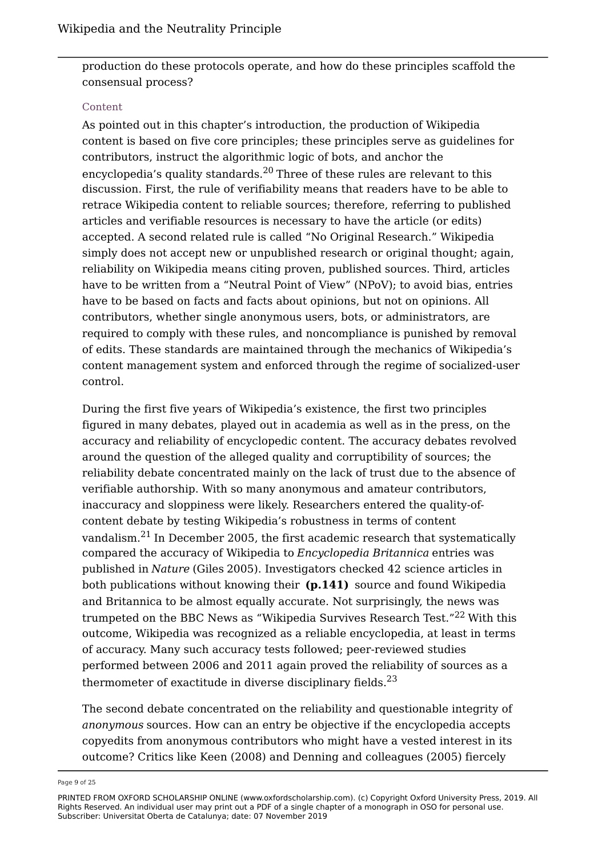production do these protocols operate, and how do these principles scaffold the consensual process?

#### Content

As pointed out in this chapter's introduction, the production of Wikipedia content is based on five core principles; these principles serve as guidelines for contributors, instruct the algorithmic logic of bots, and anchor the encyclopedia's quality standards. $^{20}$  Three of these rules are relevant to this discussion. First, the rule of verifiability means that readers have to be able to retrace Wikipedia content to reliable sources; therefore, referring to published articles and verifiable resources is necessary to have the article (or edits) accepted. A second related rule is called "No Original Research." Wikipedia simply does not accept new or unpublished research or original thought; again, reliability on Wikipedia means citing proven, published sources. Third, articles have to be written from a "Neutral Point of View" (NPoV); to avoid bias, entries have to be based on facts and facts about opinions, but not on opinions. All contributors, whether single anonymous users, bots, or administrators, are required to comply with these rules, and noncompliance is punished by removal of edits. These standards are maintained through the mechanics of Wikipedia's content management system and enforced through the regime of socialized-user control.

During the first five years of Wikipedia's existence, the first two principles figured in many debates, played out in academia as well as in the press, on the accuracy and reliability of encyclopedic content. The accuracy debates revolved around the question of the alleged quality and corruptibility of sources; the reliability debate concentrated mainly on the lack of trust due to the absence of verifiable authorship. With so many anonymous and amateur contributors, inaccuracy and sloppiness were likely. Researchers entered the quality-ofcontent debate by testing Wikipedia's robustness in terms of content vandalism.<sup>21</sup> In December 2005, the first academic research that systematically compared the accuracy of Wikipedia to *Encyclopedia Britannica* entries was published in *Nature* (Giles 2005). Investigators checked 42 science articles in both publications without knowing their **(p.141)** source and found Wikipedia and Britannica to be almost equally accurate. Not surprisingly, the news was trumpeted on the BBC News as "Wikipedia Survives Research Test."<sup>22</sup> With this outcome, Wikipedia was recognized as a reliable encyclopedia, at least in terms of accuracy. Many such accuracy tests followed; peer-reviewed studies performed between 2006 and 2011 again proved the reliability of sources as a thermometer of exactitude in diverse disciplinary fields. $^{23}$ 

The second debate concentrated on the reliability and questionable integrity of *anonymous* sources. How can an entry be objective if the encyclopedia accepts copyedits from anonymous contributors who might have a vested interest in its outcome? Critics like Keen (2008) and Denning and colleagues (2005) fiercely

Page 9 of 25

PRINTED FROM OXFORD SCHOLARSHIP ONLINE (www.oxfordscholarship.com). (c) Copyright Oxford University Press, 2019. All Rights Reserved. An individual user may print out a PDF of a single chapter of a monograph in OSO for personal use. Subscriber: Universitat Oberta de Catalunya; date: 07 November 2019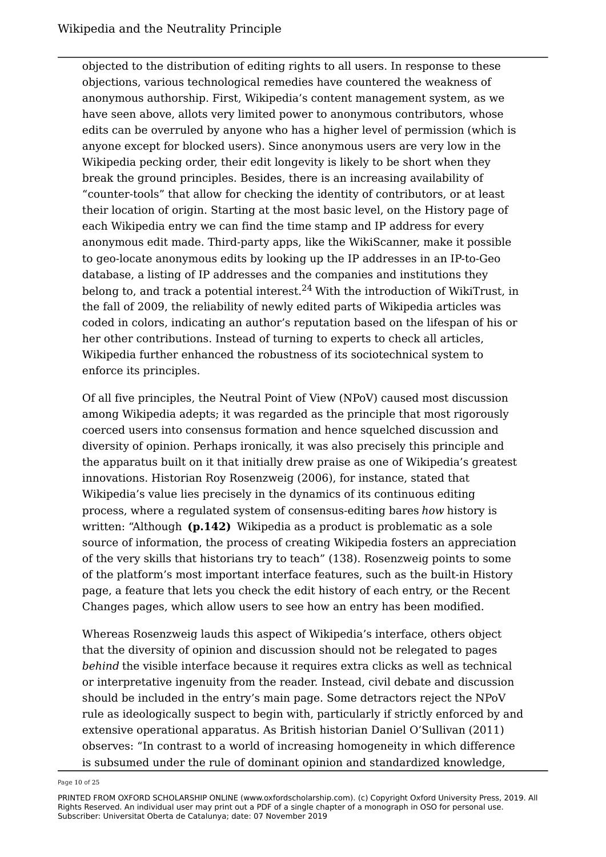objected to the distribution of editing rights to all users. In response to these objections, various technological remedies have countered the weakness of anonymous authorship. First, Wikipedia's content management system, as we have seen above, allots very limited power to anonymous contributors, whose edits can be overruled by anyone who has a higher level of permission (which is anyone except for blocked users). Since anonymous users are very low in the Wikipedia pecking order, their edit longevity is likely to be short when they break the ground principles. Besides, there is an increasing availability of "counter-tools" that allow for checking the identity of contributors, or at least their location of origin. Starting at the most basic level, on the History page of each Wikipedia entry we can find the time stamp and IP address for every anonymous edit made. Third-party apps, like the WikiScanner, make it possible to geo-locate anonymous edits by looking up the IP addresses in an IP-to-Geo database, a listing of IP addresses and the companies and institutions they belong to, and track a potential interest.  $24$  With the introduction of WikiTrust, in the fall of 2009, the reliability of newly edited parts of Wikipedia articles was coded in colors, indicating an author's reputation based on the lifespan of his or her other contributions. Instead of turning to experts to check all articles, Wikipedia further enhanced the robustness of its sociotechnical system to enforce its principles.

Of all five principles, the Neutral Point of View (NPoV) caused most discussion among Wikipedia adepts; it was regarded as the principle that most rigorously coerced users into consensus formation and hence squelched discussion and diversity of opinion. Perhaps ironically, it was also precisely this principle and the apparatus built on it that initially drew praise as one of Wikipedia's greatest innovations. Historian Roy Rosenzweig (2006), for instance, stated that Wikipedia's value lies precisely in the dynamics of its continuous editing process, where a regulated system of consensus-editing bares *how* history is written: "Although **(p.142)** Wikipedia as a product is problematic as a sole source of information, the process of creating Wikipedia fosters an appreciation of the very skills that historians try to teach" (138). Rosenzweig points to some of the platform's most important interface features, such as the built-in History page, a feature that lets you check the edit history of each entry, or the Recent Changes pages, which allow users to see how an entry has been modified.

Whereas Rosenzweig lauds this aspect of Wikipedia's interface, others object that the diversity of opinion and discussion should not be relegated to pages *behind* the visible interface because it requires extra clicks as well as technical or interpretative ingenuity from the reader. Instead, civil debate and discussion should be included in the entry's main page. Some detractors reject the NPoV rule as ideologically suspect to begin with, particularly if strictly enforced by and extensive operational apparatus. As British historian Daniel O'Sullivan (2011) observes: "In contrast to a world of increasing homogeneity in which difference is subsumed under the rule of dominant opinion and standardized knowledge,

Page 10 of 25

PRINTED FROM OXFORD SCHOLARSHIP ONLINE (www.oxfordscholarship.com). (c) Copyright Oxford University Press, 2019. All Rights Reserved. An individual user may print out a PDF of a single chapter of a monograph in OSO for personal use. Subscriber: Universitat Oberta de Catalunya; date: 07 November 2019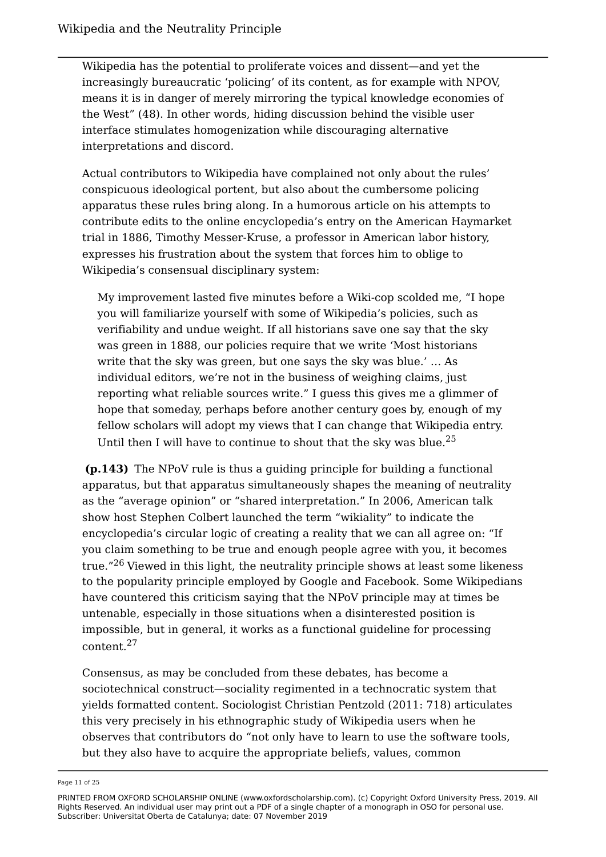Wikipedia has the potential to proliferate voices and dissent—and yet the increasingly bureaucratic 'policing' of its content, as for example with NPOV, means it is in danger of merely mirroring the typical knowledge economies of the West" (48). In other words, hiding discussion behind the visible user interface stimulates homogenization while discouraging alternative interpretations and discord.

Actual contributors to Wikipedia have complained not only about the rules' conspicuous ideological portent, but also about the cumbersome policing apparatus these rules bring along. In a humorous article on his attempts to contribute edits to the online encyclopedia's entry on the American Haymarket trial in 1886, Timothy Messer-Kruse, a professor in American labor history, expresses his frustration about the system that forces him to oblige to Wikipedia's consensual disciplinary system:

My improvement lasted five minutes before a Wiki-cop scolded me, "I hope you will familiarize yourself with some of Wikipedia's policies, such as verifiability and undue weight. If all historians save one say that the sky was green in 1888, our policies require that we write 'Most historians write that the sky was green, but one says the sky was blue.' … As individual editors, we're not in the business of weighing claims, just reporting what reliable sources write." I guess this gives me a glimmer of hope that someday, perhaps before another century goes by, enough of my fellow scholars will adopt my views that I can change that Wikipedia entry. Until then I will have to continue to shout that the sky was blue.<sup>25</sup>

 **(p.143)** The NPoV rule is thus a guiding principle for building a functional apparatus, but that apparatus simultaneously shapes the meaning of neutrality as the "average opinion" or "shared interpretation." In 2006, American talk show host Stephen Colbert launched the term "wikiality" to indicate the encyclopedia's circular logic of creating a reality that we can all agree on: "If you claim something to be true and enough people agree with you, it becomes true." $^{26}$  Viewed in this light, the neutrality principle shows at least some likeness to the popularity principle employed by Google and Facebook. Some Wikipedians have countered this criticism saying that the NPoV principle may at times be untenable, especially in those situations when a disinterested position is impossible, but in general, it works as a functional guideline for processing content.<sup>27</sup>

Consensus, as may be concluded from these debates, has become a sociotechnical construct—sociality regimented in a technocratic system that yields formatted content. Sociologist Christian Pentzold (2011: 718) articulates this very precisely in his ethnographic study of Wikipedia users when he observes that contributors do "not only have to learn to use the software tools, but they also have to acquire the appropriate beliefs, values, common

Page 11 of 25

PRINTED FROM OXFORD SCHOLARSHIP ONLINE (www.oxfordscholarship.com). (c) Copyright Oxford University Press, 2019. All Rights Reserved. An individual user may print out a PDF of a single chapter of a monograph in OSO for personal use. Subscriber: Universitat Oberta de Catalunya; date: 07 November 2019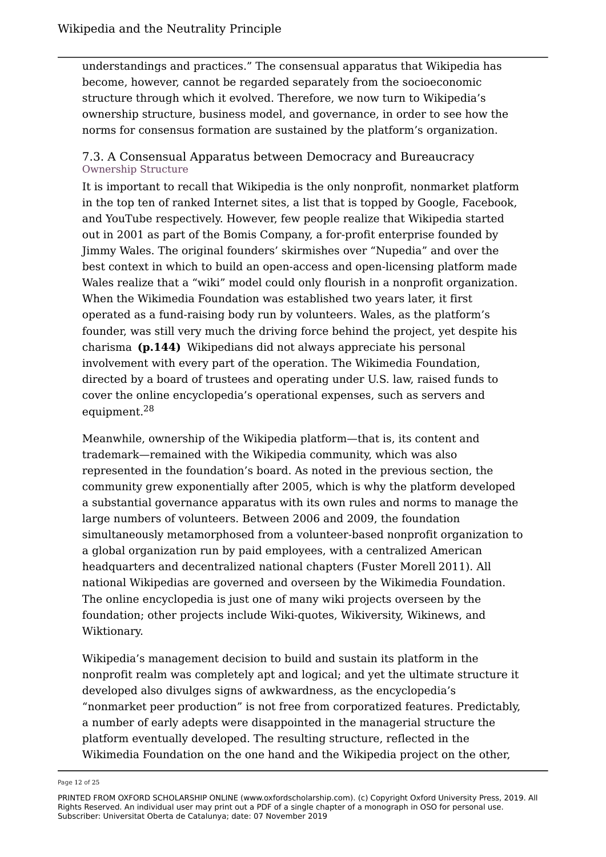understandings and practices." The consensual apparatus that Wikipedia has become, however, cannot be regarded separately from the socioeconomic structure through which it evolved. Therefore, we now turn to Wikipedia's ownership structure, business model, and governance, in order to see how the norms for consensus formation are sustained by the platform's organization.

### 7.3. A Consensual Apparatus between Democracy and Bureaucracy Ownership Structure

It is important to recall that Wikipedia is the only nonprofit, nonmarket platform in the top ten of ranked Internet sites, a list that is topped by Google, Facebook, and YouTube respectively. However, few people realize that Wikipedia started out in 2001 as part of the Bomis Company, a for-profit enterprise founded by Jimmy Wales. The original founders' skirmishes over "Nupedia" and over the best context in which to build an open-access and open-licensing platform made Wales realize that a "wiki" model could only flourish in a nonprofit organization. When the Wikimedia Foundation was established two years later, it first operated as a fund-raising body run by volunteers. Wales, as the platform's founder, was still very much the driving force behind the project, yet despite his charisma **(p.144)** Wikipedians did not always appreciate his personal involvement with every part of the operation. The Wikimedia Foundation, directed by a board of trustees and operating under U.S. law, raised funds to cover the online encyclopedia's operational expenses, such as servers and equipment.<sup>28</sup>

Meanwhile, ownership of the Wikipedia platform—that is, its content and trademark—remained with the Wikipedia community, which was also represented in the foundation's board. As noted in the previous section, the community grew exponentially after 2005, which is why the platform developed a substantial governance apparatus with its own rules and norms to manage the large numbers of volunteers. Between 2006 and 2009, the foundation simultaneously metamorphosed from a volunteer-based nonprofit organization to a global organization run by paid employees, with a centralized American headquarters and decentralized national chapters (Fuster Morell 2011). All national Wikipedias are governed and overseen by the Wikimedia Foundation. The online encyclopedia is just one of many wiki projects overseen by the foundation; other projects include Wiki-quotes, Wikiversity, Wikinews, and Wiktionary.

Wikipedia's management decision to build and sustain its platform in the nonprofit realm was completely apt and logical; and yet the ultimate structure it developed also divulges signs of awkwardness, as the encyclopedia's "nonmarket peer production" is not free from corporatized features. Predictably, a number of early adepts were disappointed in the managerial structure the platform eventually developed. The resulting structure, reflected in the Wikimedia Foundation on the one hand and the Wikipedia project on the other,

Page 12 of 25

PRINTED FROM OXFORD SCHOLARSHIP ONLINE (www.oxfordscholarship.com). (c) Copyright Oxford University Press, 2019. All Rights Reserved. An individual user may print out a PDF of a single chapter of a monograph in OSO for personal use. Subscriber: Universitat Oberta de Catalunya; date: 07 November 2019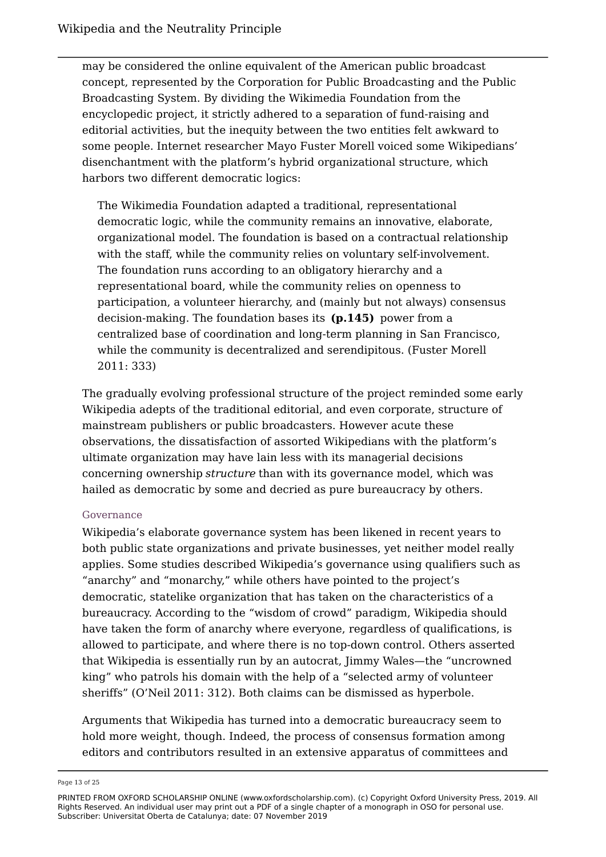may be considered the online equivalent of the American public broadcast concept, represented by the Corporation for Public Broadcasting and the Public Broadcasting System. By dividing the Wikimedia Foundation from the encyclopedic project, it strictly adhered to a separation of fund-raising and editorial activities, but the inequity between the two entities felt awkward to some people. Internet researcher Mayo Fuster Morell voiced some Wikipedians' disenchantment with the platform's hybrid organizational structure, which harbors two different democratic logics:

The Wikimedia Foundation adapted a traditional, representational democratic logic, while the community remains an innovative, elaborate, organizational model. The foundation is based on a contractual relationship with the staff, while the community relies on voluntary self-involvement. The foundation runs according to an obligatory hierarchy and a representational board, while the community relies on openness to participation, a volunteer hierarchy, and (mainly but not always) consensus decision-making. The foundation bases its **(p.145)** power from a centralized base of coordination and long-term planning in San Francisco, while the community is decentralized and serendipitous. (Fuster Morell 2011: 333)

The gradually evolving professional structure of the project reminded some early Wikipedia adepts of the traditional editorial, and even corporate, structure of mainstream publishers or public broadcasters. However acute these observations, the dissatisfaction of assorted Wikipedians with the platform's ultimate organization may have lain less with its managerial decisions concerning ownership *structure* than with its governance model, which was hailed as democratic by some and decried as pure bureaucracy by others.

## Governance

Wikipedia's elaborate governance system has been likened in recent years to both public state organizations and private businesses, yet neither model really applies. Some studies described Wikipedia's governance using qualifiers such as "anarchy" and "monarchy," while others have pointed to the project's democratic, statelike organization that has taken on the characteristics of a bureaucracy. According to the "wisdom of crowd" paradigm, Wikipedia should have taken the form of anarchy where everyone, regardless of qualifications, is allowed to participate, and where there is no top-down control. Others asserted that Wikipedia is essentially run by an autocrat, Jimmy Wales—the "uncrowned king" who patrols his domain with the help of a "selected army of volunteer sheriffs" (O'Neil 2011: 312). Both claims can be dismissed as hyperbole.

Arguments that Wikipedia has turned into a democratic bureaucracy seem to hold more weight, though. Indeed, the process of consensus formation among editors and contributors resulted in an extensive apparatus of committees and

Page 13 of 25

PRINTED FROM OXFORD SCHOLARSHIP ONLINE (www.oxfordscholarship.com). (c) Copyright Oxford University Press, 2019. All Rights Reserved. An individual user may print out a PDF of a single chapter of a monograph in OSO for personal use. Subscriber: Universitat Oberta de Catalunya; date: 07 November 2019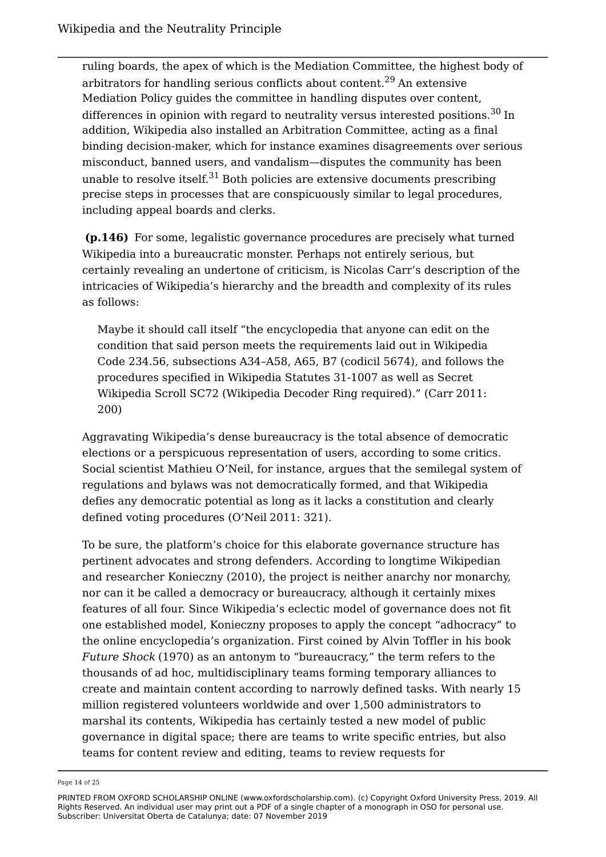ruling boards, the apex of which is the Mediation Committee, the highest body of arbitrators for handling serious conflicts about content.<sup>29</sup> An extensive Mediation Policy guides the committee in handling disputes over content, differences in opinion with regard to neutrality versus interested positions.<sup>30</sup> In addition, Wikipedia also installed an Arbitration Committee, acting as a final binding decision-maker, which for instance examines disagreements over serious misconduct, banned users, and vandalism—disputes the community has been unable to resolve itself.<sup>31</sup> Both policies are extensive documents prescribing precise steps in processes that are conspicuously similar to legal procedures, including appeal boards and clerks.

 **(p.146)** For some, legalistic governance procedures are precisely what turned Wikipedia into a bureaucratic monster. Perhaps not entirely serious, but certainly revealing an undertone of criticism, is Nicolas Carr's description of the intricacies of Wikipedia's hierarchy and the breadth and complexity of its rules as follows:

Maybe it should call itself "the encyclopedia that anyone can edit on the condition that said person meets the requirements laid out in Wikipedia Code 234.56, subsections A34–A58, A65, B7 (codicil 5674), and follows the procedures specified in Wikipedia Statutes 31-1007 as well as Secret Wikipedia Scroll SC72 (Wikipedia Decoder Ring required)." (Carr 2011: 200)

Aggravating Wikipedia's dense bureaucracy is the total absence of democratic elections or a perspicuous representation of users, according to some critics. Social scientist Mathieu O'Neil, for instance, argues that the semilegal system of regulations and bylaws was not democratically formed, and that Wikipedia defies any democratic potential as long as it lacks a constitution and clearly defined voting procedures (O'Neil 2011: 321).

To be sure, the platform's choice for this elaborate governance structure has pertinent advocates and strong defenders. According to longtime Wikipedian and researcher Konieczny (2010), the project is neither anarchy nor monarchy, nor can it be called a democracy or bureaucracy, although it certainly mixes features of all four. Since Wikipedia's eclectic model of governance does not fit one established model, Konieczny proposes to apply the concept "adhocracy" to the online encyclopedia's organization. First coined by Alvin Toffler in his book *Future Shock* (1970) as an antonym to "bureaucracy," the term refers to the thousands of ad hoc, multidisciplinary teams forming temporary alliances to create and maintain content according to narrowly defined tasks. With nearly 15 million registered volunteers worldwide and over 1,500 administrators to marshal its contents, Wikipedia has certainly tested a new model of public governance in digital space; there are teams to write specific entries, but also teams for content review and editing, teams to review requests for

Page 14 of 25

PRINTED FROM OXFORD SCHOLARSHIP ONLINE (www.oxfordscholarship.com). (c) Copyright Oxford University Press, 2019. All Rights Reserved. An individual user may print out a PDF of a single chapter of a monograph in OSO for personal use. Subscriber: Universitat Oberta de Catalunya; date: 07 November 2019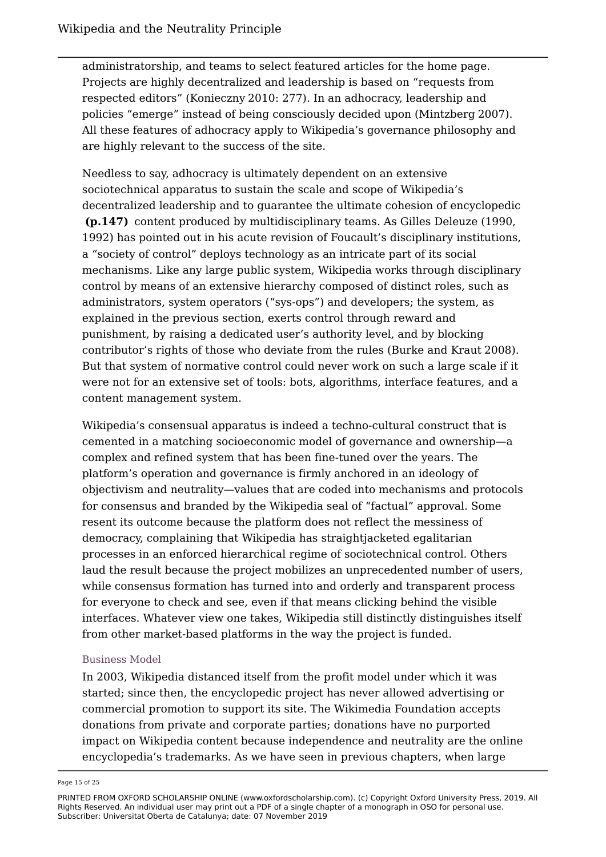administratorship, and teams to select featured articles for the home page. Projects are highly decentralized and leadership is based on "requests from respected editors" (Konieczny 2010: 277). In an adhocracy, leadership and policies "emerge" instead of being consciously decided upon (Mintzberg 2007). All these features of adhocracy apply to Wikipedia's governance philosophy and are highly relevant to the success of the site.

Needless to say, adhocracy is ultimately dependent on an extensive sociotechnical apparatus to sustain the scale and scope of Wikipedia's decentralized leadership and to guarantee the ultimate cohesion of encyclopedic **(p.147)** content produced by multidisciplinary teams. As Gilles Deleuze (1990, 1992) has pointed out in his acute revision of Foucault's disciplinary institutions, a "society of control" deploys technology as an intricate part of its social mechanisms. Like any large public system, Wikipedia works through disciplinary control by means of an extensive hierarchy composed of distinct roles, such as administrators, system operators ("sys-ops") and developers; the system, as explained in the previous section, exerts control through reward and punishment, by raising a dedicated user's authority level, and by blocking contributor's rights of those who deviate from the rules (Burke and Kraut 2008). But that system of normative control could never work on such a large scale if it were not for an extensive set of tools: bots, algorithms, interface features, and a content management system.

Wikipedia's consensual apparatus is indeed a techno-cultural construct that is cemented in a matching socioeconomic model of governance and ownership—a complex and refined system that has been fine-tuned over the years. The platform's operation and governance is firmly anchored in an ideology of objectivism and neutrality—values that are coded into mechanisms and protocols for consensus and branded by the Wikipedia seal of "factual" approval. Some resent its outcome because the platform does not reflect the messiness of democracy, complaining that Wikipedia has straightjacketed egalitarian processes in an enforced hierarchical regime of sociotechnical control. Others laud the result because the project mobilizes an unprecedented number of users, while consensus formation has turned into and orderly and transparent process for everyone to check and see, even if that means clicking behind the visible interfaces. Whatever view one takes, Wikipedia still distinctly distinguishes itself from other market-based platforms in the way the project is funded.

#### Business Model

In 2003, Wikipedia distanced itself from the profit model under which it was started; since then, the encyclopedic project has never allowed advertising or commercial promotion to support its site. The Wikimedia Foundation accepts donations from private and corporate parties; donations have no purported impact on Wikipedia content because independence and neutrality are the online encyclopedia's trademarks. As we have seen in previous chapters, when large

Page 15 of 25

PRINTED FROM OXFORD SCHOLARSHIP ONLINE (www.oxfordscholarship.com). (c) Copyright Oxford University Press, 2019. All Rights Reserved. An individual user may print out a PDF of a single chapter of a monograph in OSO for personal use. Subscriber: Universitat Oberta de Catalunya; date: 07 November 2019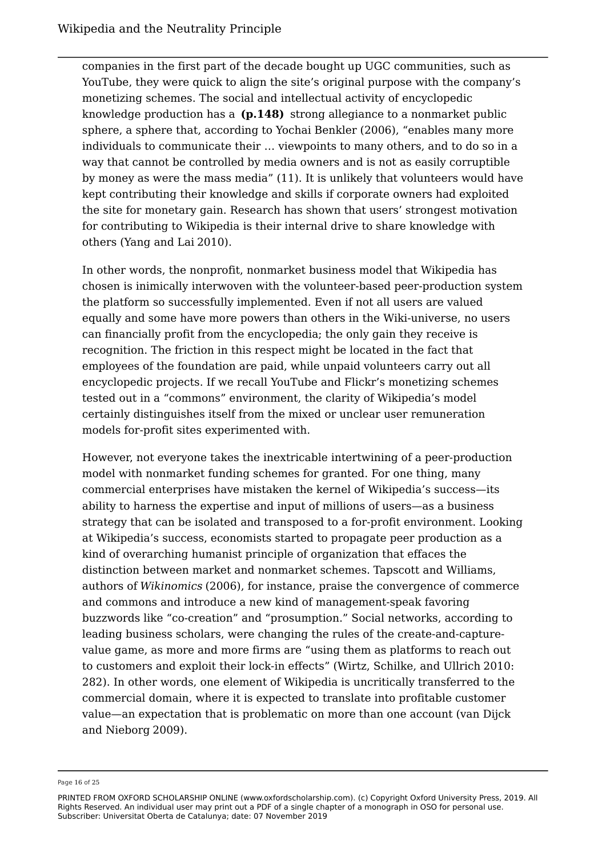companies in the first part of the decade bought up UGC communities, such as YouTube, they were quick to align the site's original purpose with the company's monetizing schemes. The social and intellectual activity of encyclopedic knowledge production has a **(p.148)** strong allegiance to a nonmarket public sphere, a sphere that, according to Yochai Benkler (2006), "enables many more individuals to communicate their … viewpoints to many others, and to do so in a way that cannot be controlled by media owners and is not as easily corruptible by money as were the mass media" (11). It is unlikely that volunteers would have kept contributing their knowledge and skills if corporate owners had exploited the site for monetary gain. Research has shown that users' strongest motivation for contributing to Wikipedia is their internal drive to share knowledge with others (Yang and Lai 2010).

In other words, the nonprofit, nonmarket business model that Wikipedia has chosen is inimically interwoven with the volunteer-based peer-production system the platform so successfully implemented. Even if not all users are valued equally and some have more powers than others in the Wiki-universe, no users can financially profit from the encyclopedia; the only gain they receive is recognition. The friction in this respect might be located in the fact that employees of the foundation are paid, while unpaid volunteers carry out all encyclopedic projects. If we recall YouTube and Flickr's monetizing schemes tested out in a "commons" environment, the clarity of Wikipedia's model certainly distinguishes itself from the mixed or unclear user remuneration models for-profit sites experimented with.

However, not everyone takes the inextricable intertwining of a peer-production model with nonmarket funding schemes for granted. For one thing, many commercial enterprises have mistaken the kernel of Wikipedia's success—its ability to harness the expertise and input of millions of users—as a business strategy that can be isolated and transposed to a for-profit environment. Looking at Wikipedia's success, economists started to propagate peer production as a kind of overarching humanist principle of organization that effaces the distinction between market and nonmarket schemes. Tapscott and Williams, authors of *Wikinomics* (2006), for instance, praise the convergence of commerce and commons and introduce a new kind of management-speak favoring buzzwords like "co-creation" and "prosumption." Social networks, according to leading business scholars, were changing the rules of the create-and-capturevalue game, as more and more firms are "using them as platforms to reach out to customers and exploit their lock-in effects" (Wirtz, Schilke, and Ullrich 2010: 282). In other words, one element of Wikipedia is uncritically transferred to the commercial domain, where it is expected to translate into profitable customer value—an expectation that is problematic on more than one account (van Dijck and Nieborg 2009).

Page 16 of 25

PRINTED FROM OXFORD SCHOLARSHIP ONLINE (www.oxfordscholarship.com). (c) Copyright Oxford University Press, 2019. All Rights Reserved. An individual user may print out a PDF of a single chapter of a monograph in OSO for personal use. Subscriber: Universitat Oberta de Catalunya; date: 07 November 2019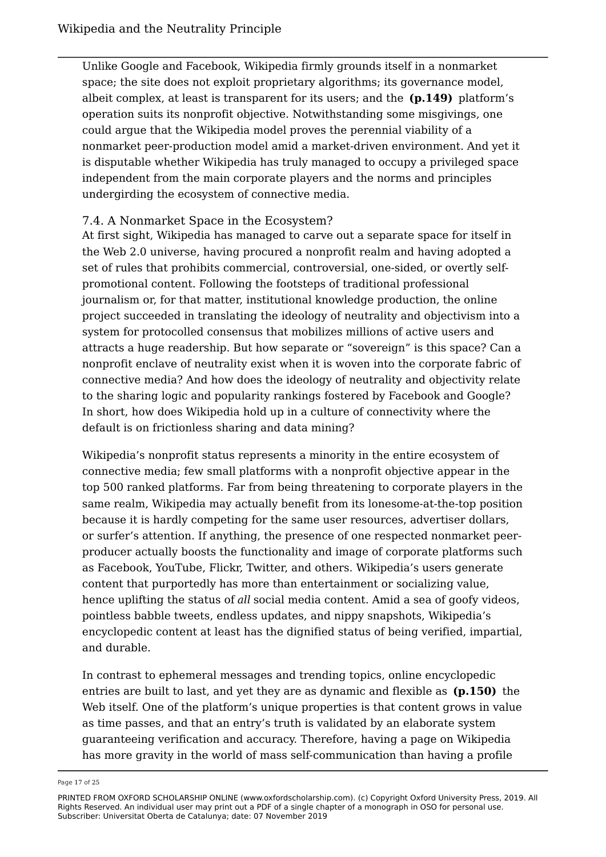Unlike Google and Facebook, Wikipedia firmly grounds itself in a nonmarket space; the site does not exploit proprietary algorithms; its governance model, albeit complex, at least is transparent for its users; and the **(p.149)** platform's operation suits its nonprofit objective. Notwithstanding some misgivings, one could argue that the Wikipedia model proves the perennial viability of a nonmarket peer-production model amid a market-driven environment. And yet it is disputable whether Wikipedia has truly managed to occupy a privileged space independent from the main corporate players and the norms and principles undergirding the ecosystem of connective media.

# 7.4. A Nonmarket Space in the Ecosystem?

At first sight, Wikipedia has managed to carve out a separate space for itself in the Web 2.0 universe, having procured a nonprofit realm and having adopted a set of rules that prohibits commercial, controversial, one-sided, or overtly selfpromotional content. Following the footsteps of traditional professional journalism or, for that matter, institutional knowledge production, the online project succeeded in translating the ideology of neutrality and objectivism into a system for protocolled consensus that mobilizes millions of active users and attracts a huge readership. But how separate or "sovereign" is this space? Can a nonprofit enclave of neutrality exist when it is woven into the corporate fabric of connective media? And how does the ideology of neutrality and objectivity relate to the sharing logic and popularity rankings fostered by Facebook and Google? In short, how does Wikipedia hold up in a culture of connectivity where the default is on frictionless sharing and data mining?

Wikipedia's nonprofit status represents a minority in the entire ecosystem of connective media; few small platforms with a nonprofit objective appear in the top 500 ranked platforms. Far from being threatening to corporate players in the same realm, Wikipedia may actually benefit from its lonesome-at-the-top position because it is hardly competing for the same user resources, advertiser dollars, or surfer's attention. If anything, the presence of one respected nonmarket peerproducer actually boosts the functionality and image of corporate platforms such as Facebook, YouTube, Flickr, Twitter, and others. Wikipedia's users generate content that purportedly has more than entertainment or socializing value, hence uplifting the status of *all* social media content. Amid a sea of goofy videos, pointless babble tweets, endless updates, and nippy snapshots, Wikipedia's encyclopedic content at least has the dignified status of being verified, impartial, and durable.

In contrast to ephemeral messages and trending topics, online encyclopedic entries are built to last, and yet they are as dynamic and flexible as **(p.150)** the Web itself. One of the platform's unique properties is that content grows in value as time passes, and that an entry's truth is validated by an elaborate system guaranteeing verification and accuracy. Therefore, having a page on Wikipedia has more gravity in the world of mass self-communication than having a profile

Page 17 of 25

PRINTED FROM OXFORD SCHOLARSHIP ONLINE (www.oxfordscholarship.com). (c) Copyright Oxford University Press, 2019. All Rights Reserved. An individual user may print out a PDF of a single chapter of a monograph in OSO for personal use. Subscriber: Universitat Oberta de Catalunya; date: 07 November 2019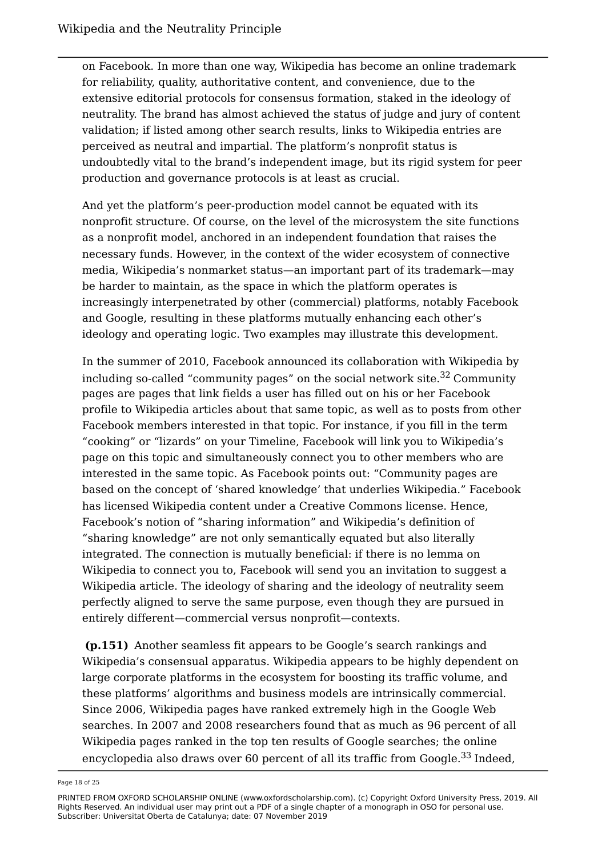on Facebook. In more than one way, Wikipedia has become an online trademark for reliability, quality, authoritative content, and convenience, due to the extensive editorial protocols for consensus formation, staked in the ideology of neutrality. The brand has almost achieved the status of judge and jury of content validation; if listed among other search results, links to Wikipedia entries are perceived as neutral and impartial. The platform's nonprofit status is undoubtedly vital to the brand's independent image, but its rigid system for peer production and governance protocols is at least as crucial.

And yet the platform's peer-production model cannot be equated with its nonprofit structure. Of course, on the level of the microsystem the site functions as a nonprofit model, anchored in an independent foundation that raises the necessary funds. However, in the context of the wider ecosystem of connective media, Wikipedia's nonmarket status—an important part of its trademark—may be harder to maintain, as the space in which the platform operates is increasingly interpenetrated by other (commercial) platforms, notably Facebook and Google, resulting in these platforms mutually enhancing each other's ideology and operating logic. Two examples may illustrate this development.

In the summer of 2010, Facebook announced its collaboration with Wikipedia by including so-called "community pages" on the social network site. $32$  Community pages are pages that link fields a user has filled out on his or her Facebook profile to Wikipedia articles about that same topic, as well as to posts from other Facebook members interested in that topic. For instance, if you fill in the term "cooking" or "lizards" on your Timeline, Facebook will link you to Wikipedia's page on this topic and simultaneously connect you to other members who are interested in the same topic. As Facebook points out: "Community pages are based on the concept of 'shared knowledge' that underlies Wikipedia." Facebook has licensed Wikipedia content under a Creative Commons license. Hence, Facebook's notion of "sharing information" and Wikipedia's definition of "sharing knowledge" are not only semantically equated but also literally integrated. The connection is mutually beneficial: if there is no lemma on Wikipedia to connect you to, Facebook will send you an invitation to suggest a Wikipedia article. The ideology of sharing and the ideology of neutrality seem perfectly aligned to serve the same purpose, even though they are pursued in entirely different—commercial versus nonprofit—contexts.

 **(p.151)** Another seamless fit appears to be Google's search rankings and Wikipedia's consensual apparatus. Wikipedia appears to be highly dependent on large corporate platforms in the ecosystem for boosting its traffic volume, and these platforms' algorithms and business models are intrinsically commercial. Since 2006, Wikipedia pages have ranked extremely high in the Google Web searches. In 2007 and 2008 researchers found that as much as 96 percent of all Wikipedia pages ranked in the top ten results of Google searches; the online encyclopedia also draws over 60 percent of all its traffic from Google.<sup>33</sup> Indeed.

Page 18 of 25

PRINTED FROM OXFORD SCHOLARSHIP ONLINE (www.oxfordscholarship.com). (c) Copyright Oxford University Press, 2019. All Rights Reserved. An individual user may print out a PDF of a single chapter of a monograph in OSO for personal use. Subscriber: Universitat Oberta de Catalunya; date: 07 November 2019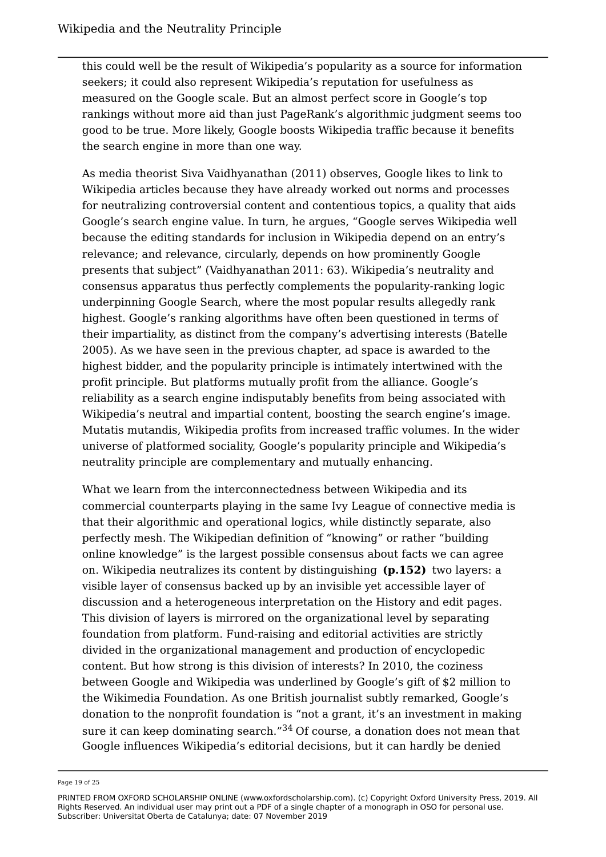this could well be the result of Wikipedia's popularity as a source for information seekers; it could also represent Wikipedia's reputation for usefulness as measured on the Google scale. But an almost perfect score in Google's top rankings without more aid than just PageRank's algorithmic judgment seems too good to be true. More likely, Google boosts Wikipedia traffic because it benefits the search engine in more than one way.

As media theorist Siva Vaidhyanathan (2011) observes, Google likes to link to Wikipedia articles because they have already worked out norms and processes for neutralizing controversial content and contentious topics, a quality that aids Google's search engine value. In turn, he argues, "Google serves Wikipedia well because the editing standards for inclusion in Wikipedia depend on an entry's relevance; and relevance, circularly, depends on how prominently Google presents that subject" (Vaidhyanathan 2011: 63). Wikipedia's neutrality and consensus apparatus thus perfectly complements the popularity-ranking logic underpinning Google Search, where the most popular results allegedly rank highest. Google's ranking algorithms have often been questioned in terms of their impartiality, as distinct from the company's advertising interests (Batelle 2005). As we have seen in the previous chapter, ad space is awarded to the highest bidder, and the popularity principle is intimately intertwined with the profit principle. But platforms mutually profit from the alliance. Google's reliability as a search engine indisputably benefits from being associated with Wikipedia's neutral and impartial content, boosting the search engine's image. Mutatis mutandis, Wikipedia profits from increased traffic volumes. In the wider universe of platformed sociality, Google's popularity principle and Wikipedia's neutrality principle are complementary and mutually enhancing.

What we learn from the interconnectedness between Wikipedia and its commercial counterparts playing in the same Ivy League of connective media is that their algorithmic and operational logics, while distinctly separate, also perfectly mesh. The Wikipedian definition of "knowing" or rather "building online knowledge" is the largest possible consensus about facts we can agree on. Wikipedia neutralizes its content by distinguishing **(p.152)** two layers: a visible layer of consensus backed up by an invisible yet accessible layer of discussion and a heterogeneous interpretation on the History and edit pages. This division of layers is mirrored on the organizational level by separating foundation from platform. Fund-raising and editorial activities are strictly divided in the organizational management and production of encyclopedic content. But how strong is this division of interests? In 2010, the coziness between Google and Wikipedia was underlined by Google's gift of \$2 million to the Wikimedia Foundation. As one British journalist subtly remarked, Google's donation to the nonprofit foundation is "not a grant, it's an investment in making sure it can keep dominating search." $34$  Of course, a donation does not mean that Google influences Wikipedia's editorial decisions, but it can hardly be denied

Page 19 of 25

PRINTED FROM OXFORD SCHOLARSHIP ONLINE (www.oxfordscholarship.com). (c) Copyright Oxford University Press, 2019. All Rights Reserved. An individual user may print out a PDF of a single chapter of a monograph in OSO for personal use. Subscriber: Universitat Oberta de Catalunya; date: 07 November 2019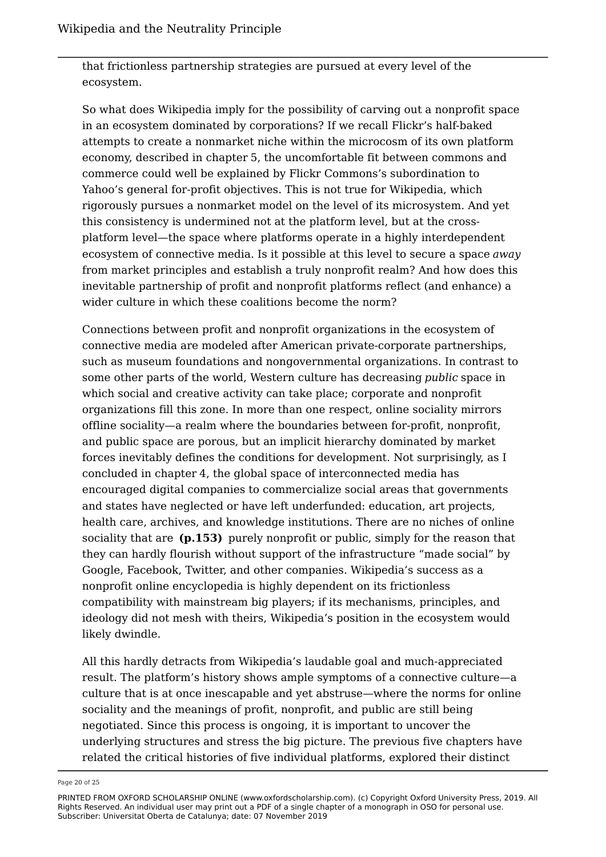that frictionless partnership strategies are pursued at every level of the ecosystem.

So what does Wikipedia imply for the possibility of carving out a nonprofit space in an ecosystem dominated by corporations? If we recall Flickr's half-baked attempts to create a nonmarket niche within the microcosm of its own platform economy, described in chapter 5, the uncomfortable fit between commons and commerce could well be explained by Flickr Commons's subordination to Yahoo's general for-profit objectives. This is not true for Wikipedia, which rigorously pursues a nonmarket model on the level of its microsystem. And yet this consistency is undermined not at the platform level, but at the crossplatform level—the space where platforms operate in a highly interdependent ecosystem of connective media. Is it possible at this level to secure a space *away* from market principles and establish a truly nonprofit realm? And how does this inevitable partnership of profit and nonprofit platforms reflect (and enhance) a wider culture in which these coalitions become the norm?

Connections between profit and nonprofit organizations in the ecosystem of connective media are modeled after American private-corporate partnerships, such as museum foundations and nongovernmental organizations. In contrast to some other parts of the world, Western culture has decreasing *public* space in which social and creative activity can take place; corporate and nonprofit organizations fill this zone. In more than one respect, online sociality mirrors offline sociality—a realm where the boundaries between for-profit, nonprofit, and public space are porous, but an implicit hierarchy dominated by market forces inevitably defines the conditions for development. Not surprisingly, as I concluded in chapter 4, the global space of interconnected media has encouraged digital companies to commercialize social areas that governments and states have neglected or have left underfunded: education, art projects, health care, archives, and knowledge institutions. There are no niches of online sociality that are **(p.153)** purely nonprofit or public, simply for the reason that they can hardly flourish without support of the infrastructure "made social" by Google, Facebook, Twitter, and other companies. Wikipedia's success as a nonprofit online encyclopedia is highly dependent on its frictionless compatibility with mainstream big players; if its mechanisms, principles, and ideology did not mesh with theirs, Wikipedia's position in the ecosystem would likely dwindle.

All this hardly detracts from Wikipedia's laudable goal and much-appreciated result. The platform's history shows ample symptoms of a connective culture—a culture that is at once inescapable and yet abstruse—where the norms for online sociality and the meanings of profit, nonprofit, and public are still being negotiated. Since this process is ongoing, it is important to uncover the underlying structures and stress the big picture. The previous five chapters have related the critical histories of five individual platforms, explored their distinct

Page 20 of 25

PRINTED FROM OXFORD SCHOLARSHIP ONLINE (www.oxfordscholarship.com). (c) Copyright Oxford University Press, 2019. All Rights Reserved. An individual user may print out a PDF of a single chapter of a monograph in OSO for personal use. Subscriber: Universitat Oberta de Catalunya; date: 07 November 2019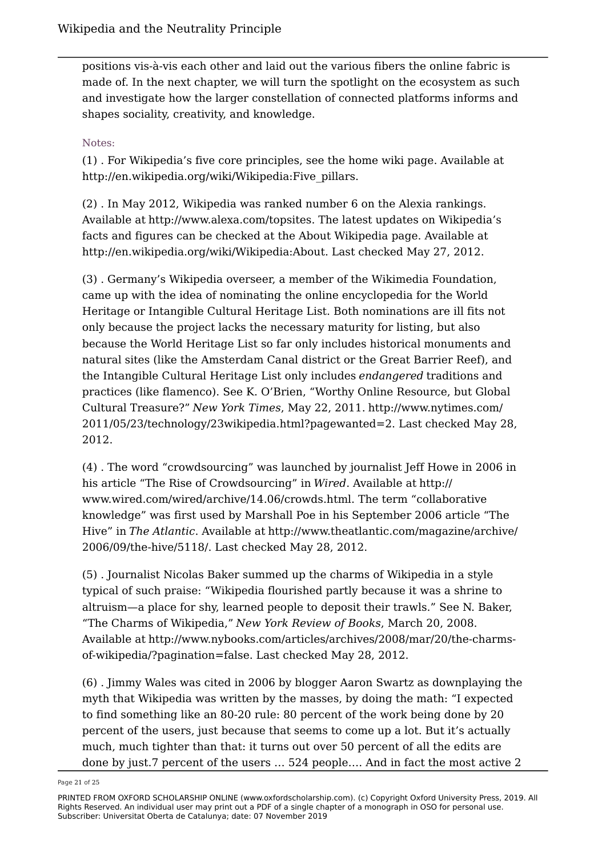positions vis-à-vis each other and laid out the various fibers the online fabric is made of. In the next chapter, we will turn the spotlight on the ecosystem as such and investigate how the larger constellation of connected platforms informs and shapes sociality, creativity, and knowledge.

# Notes:

(1) . For Wikipedia's five core principles, see the home wiki page. Available at http://en.wikipedia.org/wiki/Wikipedia:Five\_pillars.

(2) . In May 2012, Wikipedia was ranked number 6 on the Alexia rankings. Available at http://www.alexa.com/topsites. The latest updates on Wikipedia's facts and figures can be checked at the About Wikipedia page. Available at http://en.wikipedia.org/wiki/Wikipedia:About. Last checked May 27, 2012.

(3) . Germany's Wikipedia overseer, a member of the Wikimedia Foundation, came up with the idea of nominating the online encyclopedia for the World Heritage or Intangible Cultural Heritage List. Both nominations are ill fits not only because the project lacks the necessary maturity for listing, but also because the World Heritage List so far only includes historical monuments and natural sites (like the Amsterdam Canal district or the Great Barrier Reef), and the Intangible Cultural Heritage List only includes *endangered* traditions and practices (like flamenco). See K. O'Brien, "Worthy Online Resource, but Global Cultural Treasure?" *New York Times*, May 22, 2011. http://www.nytimes.com/ 2011/05/23/technology/23wikipedia.html?pagewanted=2. Last checked May 28, 2012.

(4) . The word "crowdsourcing" was launched by journalist Jeff Howe in 2006 in his article "The Rise of Crowdsourcing" in *Wired*. Available at http:// www.wired.com/wired/archive/14.06/crowds.html. The term "collaborative knowledge" was first used by Marshall Poe in his September 2006 article "The Hive" in *The Atlantic*. Available at http://www.theatlantic.com/magazine/archive/ 2006/09/the-hive/5118/. Last checked May 28, 2012.

(5) . Journalist Nicolas Baker summed up the charms of Wikipedia in a style typical of such praise: "Wikipedia flourished partly because it was a shrine to altruism—a place for shy, learned people to deposit their trawls." See N. Baker, "The Charms of Wikipedia," *New York Review of Books*, March 20, 2008. Available at http://www.nybooks.com/articles/archives/2008/mar/20/the-charmsof-wikipedia/?pagination=false. Last checked May 28, 2012.

(6) . Jimmy Wales was cited in 2006 by blogger Aaron Swartz as downplaying the myth that Wikipedia was written by the masses, by doing the math: "I expected to find something like an 80-20 rule: 80 percent of the work being done by 20 percent of the users, just because that seems to come up a lot. But it's actually much, much tighter than that: it turns out over 50 percent of all the edits are done by just.7 percent of the users … 524 people…. And in fact the most active 2

Page 21 of 25

PRINTED FROM OXFORD SCHOLARSHIP ONLINE (www.oxfordscholarship.com). (c) Copyright Oxford University Press, 2019. All Rights Reserved. An individual user may print out a PDF of a single chapter of a monograph in OSO for personal use. Subscriber: Universitat Oberta de Catalunya; date: 07 November 2019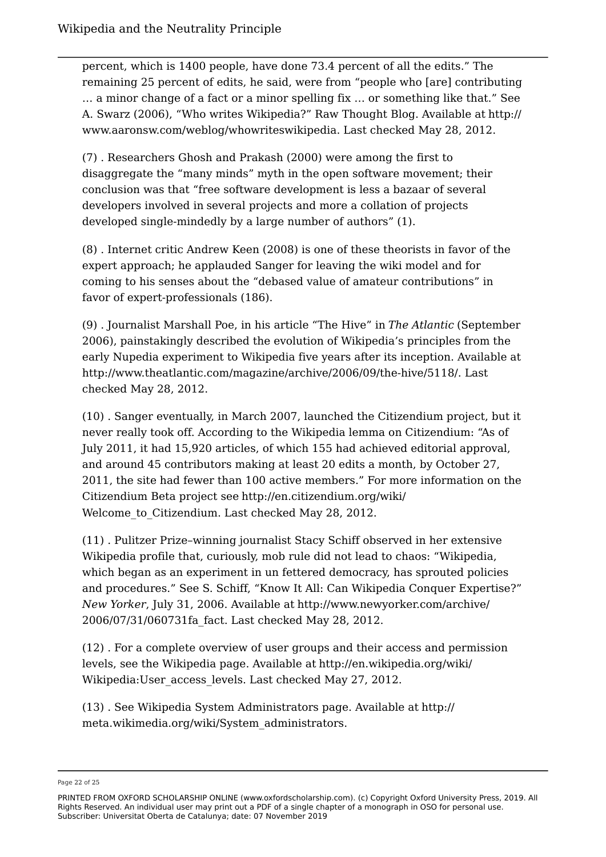percent, which is 1400 people, have done 73.4 percent of all the edits." The remaining 25 percent of edits, he said, were from "people who [are] contributing … a minor change of a fact or a minor spelling fix … or something like that." See A. Swarz (2006), "Who writes Wikipedia?" Raw Thought Blog. Available at http:// www.aaronsw.com/weblog/whowriteswikipedia. Last checked May 28, 2012.

(7) . Researchers Ghosh and Prakash (2000) were among the first to disaggregate the "many minds" myth in the open software movement; their conclusion was that "free software development is less a bazaar of several developers involved in several projects and more a collation of projects developed single-mindedly by a large number of authors" (1).

(8) . Internet critic Andrew Keen (2008) is one of these theorists in favor of the expert approach; he applauded Sanger for leaving the wiki model and for coming to his senses about the "debased value of amateur contributions" in favor of expert-professionals (186).

(9) . Journalist Marshall Poe, in his article "The Hive" in *The Atlantic* (September 2006), painstakingly described the evolution of Wikipedia's principles from the early Nupedia experiment to Wikipedia five years after its inception. Available at http://www.theatlantic.com/magazine/archive/2006/09/the-hive/5118/. Last checked May 28, 2012.

(10) . Sanger eventually, in March 2007, launched the Citizendium project, but it never really took off. According to the Wikipedia lemma on Citizendium: "As of July 2011, it had 15,920 articles, of which 155 had achieved editorial approval, and around 45 contributors making at least 20 edits a month, by October 27, 2011, the site had fewer than 100 active members." For more information on the Citizendium Beta project see http://en.citizendium.org/wiki/ Welcome to Citizendium. Last checked May 28, 2012.

(11) . Pulitzer Prize–winning journalist Stacy Schiff observed in her extensive Wikipedia profile that, curiously, mob rule did not lead to chaos: "Wikipedia, which began as an experiment in un fettered democracy, has sprouted policies and procedures." See S. Schiff, "Know It All: Can Wikipedia Conquer Expertise?" *New Yorker*, July 31, 2006. Available at http://www.newyorker.com/archive/ 2006/07/31/060731fa\_fact. Last checked May 28, 2012.

(12) . For a complete overview of user groups and their access and permission levels, see the Wikipedia page. Available at http://en.wikipedia.org/wiki/ Wikipedia: User access levels. Last checked May 27, 2012.

(13) . See Wikipedia System Administrators page. Available at http:// meta.wikimedia.org/wiki/System\_administrators.

Page 22 of 25

PRINTED FROM OXFORD SCHOLARSHIP ONLINE (www.oxfordscholarship.com). (c) Copyright Oxford University Press, 2019. All Rights Reserved. An individual user may print out a PDF of a single chapter of a monograph in OSO for personal use. Subscriber: Universitat Oberta de Catalunya; date: 07 November 2019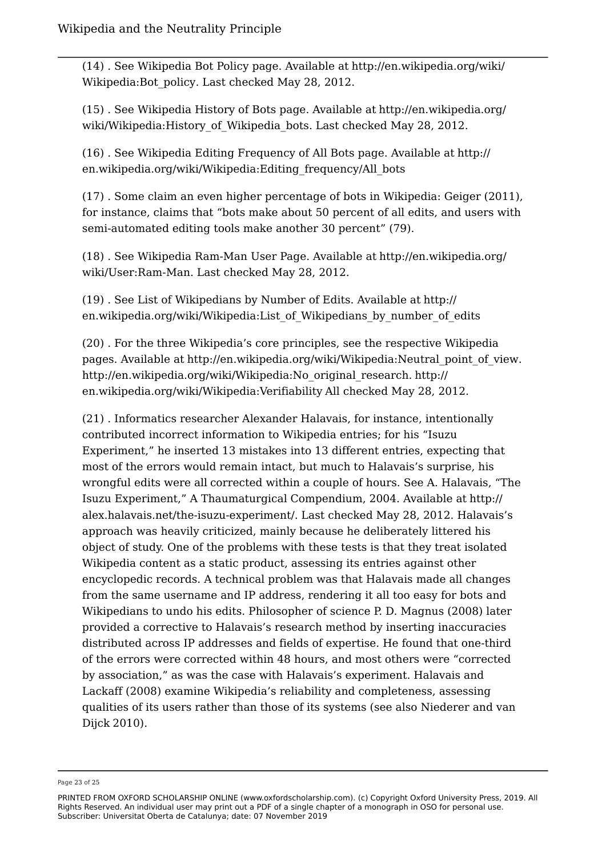(14) . See Wikipedia Bot Policy page. Available at http://en.wikipedia.org/wiki/ Wikipedia: Bot policy. Last checked May 28, 2012.

(15) . See Wikipedia History of Bots page. Available at http://en.wikipedia.org/ wiki/Wikipedia:History of Wikipedia bots. Last checked May 28, 2012.

(16) . See Wikipedia Editing Frequency of All Bots page. Available at http:// en.wikipedia.org/wiki/Wikipedia:Editing\_frequency/All\_bots

(17) . Some claim an even higher percentage of bots in Wikipedia: Geiger (2011), for instance, claims that "bots make about 50 percent of all edits, and users with semi-automated editing tools make another 30 percent" (79).

(18) . See Wikipedia Ram-Man User Page. Available at http://en.wikipedia.org/ wiki/User:Ram-Man. Last checked May 28, 2012.

(19) . See List of Wikipedians by Number of Edits. Available at http:// en.wikipedia.org/wiki/Wikipedia:List\_of\_Wikipedians\_by\_number\_of\_edits

(20) . For the three Wikipedia's core principles, see the respective Wikipedia pages. Available at http://en.wikipedia.org/wiki/Wikipedia:Neutral\_point\_of\_view. http://en.wikipedia.org/wiki/Wikipedia:No\_original\_research. http:// en.wikipedia.org/wiki/Wikipedia:Verifiability All checked May 28, 2012.

(21) . Informatics researcher Alexander Halavais, for instance, intentionally contributed incorrect information to Wikipedia entries; for his "Isuzu Experiment," he inserted 13 mistakes into 13 different entries, expecting that most of the errors would remain intact, but much to Halavais's surprise, his wrongful edits were all corrected within a couple of hours. See A. Halavais, "The Isuzu Experiment," A Thaumaturgical Compendium, 2004. Available at http:// alex.halavais.net/the-isuzu-experiment/. Last checked May 28, 2012. Halavais's approach was heavily criticized, mainly because he deliberately littered his object of study. One of the problems with these tests is that they treat isolated Wikipedia content as a static product, assessing its entries against other encyclopedic records. A technical problem was that Halavais made all changes from the same username and IP address, rendering it all too easy for bots and Wikipedians to undo his edits. Philosopher of science P. D. Magnus (2008) later provided a corrective to Halavais's research method by inserting inaccuracies distributed across IP addresses and fields of expertise. He found that one-third of the errors were corrected within 48 hours, and most others were "corrected by association," as was the case with Halavais's experiment. Halavais and Lackaff (2008) examine Wikipedia's reliability and completeness, assessing qualities of its users rather than those of its systems (see also Niederer and van Dijck 2010).

Page 23 of 25

PRINTED FROM OXFORD SCHOLARSHIP ONLINE (www.oxfordscholarship.com). (c) Copyright Oxford University Press, 2019. All Rights Reserved. An individual user may print out a PDF of a single chapter of a monograph in OSO for personal use. Subscriber: Universitat Oberta de Catalunya; date: 07 November 2019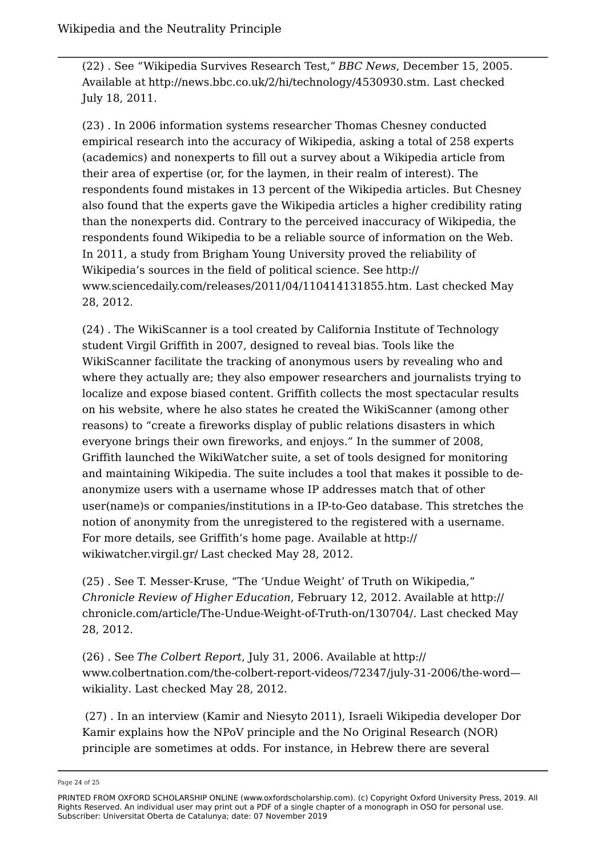(22) . See "Wikipedia Survives Research Test," *BBC News*, December 15, 2005. Available at http://news.bbc.co.uk/2/hi/technology/4530930.stm. Last checked July 18, 2011.

(23) . In 2006 information systems researcher Thomas Chesney conducted empirical research into the accuracy of Wikipedia, asking a total of 258 experts (academics) and nonexperts to fill out a survey about a Wikipedia article from their area of expertise (or, for the laymen, in their realm of interest). The respondents found mistakes in 13 percent of the Wikipedia articles. But Chesney also found that the experts gave the Wikipedia articles a higher credibility rating than the nonexperts did. Contrary to the perceived inaccuracy of Wikipedia, the respondents found Wikipedia to be a reliable source of information on the Web. In 2011, a study from Brigham Young University proved the reliability of Wikipedia's sources in the field of political science. See http:// www.sciencedaily.com/releases/2011/04/110414131855.htm. Last checked May 28, 2012.

(24) . The WikiScanner is a tool created by California Institute of Technology student Virgil Griffith in 2007, designed to reveal bias. Tools like the WikiScanner facilitate the tracking of anonymous users by revealing who and where they actually are; they also empower researchers and journalists trying to localize and expose biased content. Griffith collects the most spectacular results on his website, where he also states he created the WikiScanner (among other reasons) to "create a fireworks display of public relations disasters in which everyone brings their own fireworks, and enjoys." In the summer of 2008, Griffith launched the WikiWatcher suite, a set of tools designed for monitoring and maintaining Wikipedia. The suite includes a tool that makes it possible to deanonymize users with a username whose IP addresses match that of other user(name)s or companies/institutions in a IP-to-Geo database. This stretches the notion of anonymity from the unregistered to the registered with a username. For more details, see Griffith's home page. Available at http:// wikiwatcher.virgil.gr/ Last checked May 28, 2012.

(25) . See T. Messer-Kruse, "The 'Undue Weight' of Truth on Wikipedia," *Chronicle Review of Higher Education*, February 12, 2012. Available at http:// chronicle.com/article/The-Undue-Weight-of-Truth-on/130704/. Last checked May 28, 2012.

(26) . See *The Colbert Report*, July 31, 2006. Available at http:// www.colbertnation.com/the-colbert-report-videos/72347/july-31-2006/the-word wikiality. Last checked May 28, 2012.

(27) . In an interview (Kamir and Niesyto 2011), Israeli Wikipedia developer Dor Kamir explains how the NPoV principle and the No Original Research (NOR) principle are sometimes at odds. For instance, in Hebrew there are several

Page 24 of 25

PRINTED FROM OXFORD SCHOLARSHIP ONLINE (www.oxfordscholarship.com). (c) Copyright Oxford University Press, 2019. All Rights Reserved. An individual user may print out a PDF of a single chapter of a monograph in OSO for personal use. Subscriber: Universitat Oberta de Catalunya; date: 07 November 2019